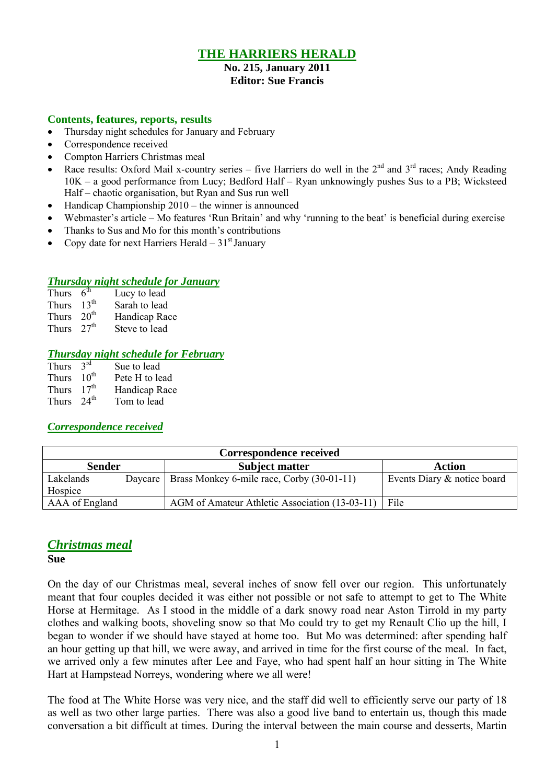# **THE HARRIERS HERALD**

#### **No. 215, January 2011 Editor: Sue Francis**

#### **Contents, features, reports, results**

- Thursday night schedules for January and February
- Correspondence received
- Compton Harriers Christmas meal
- Race results: Oxford Mail x-country series five Harriers do well in the  $2^{nd}$  and  $3^{rd}$  races; Andy Reading 10K – a good performance from Lucy; Bedford Half – Ryan unknowingly pushes Sus to a PB; Wicksteed Half – chaotic organisation, but Ryan and Sus run well
- $\bullet$  Handicap Championship 2010 the winner is announced
- Webmaster's article Mo features 'Run Britain' and why 'running to the beat' is beneficial during exercise
- Thanks to Sus and Mo for this month's contributions
- Copy date for next Harriers Herald  $-31<sup>st</sup>$  January

## *Thursday night schedule for January*

| Thurs        | $6^{th}$         | Lucy to lead  |
|--------------|------------------|---------------|
| <b>Thurs</b> | 13 <sup>th</sup> | Sarah to lead |
| <b>Thurs</b> | 20 <sup>th</sup> | Handicap Race |
| <b>Thurs</b> | 27 <sup>th</sup> | Steve to lead |

#### *Thursday night schedule for February*

| Thurs        | $3^{rd}$          | Sue to lead    |
|--------------|-------------------|----------------|
| <b>Thurs</b> | $10^{\text{th}}$  | Pete H to lead |
| <b>Thurs</b> | 17 <sup>th</sup>  | Handicap Race  |
| <b>Thurs</b> | $2.4^{\text{th}}$ | Tom to lead    |

## *Correspondence received*

| Correspondence received |         |                                                |                             |  |  |
|-------------------------|---------|------------------------------------------------|-----------------------------|--|--|
| <b>Sender</b>           |         | <b>Subject matter</b>                          | Action                      |  |  |
| Lakelands               | Daycare | Brass Monkey 6-mile race, Corby (30-01-11)     | Events Diary & notice board |  |  |
| Hospice                 |         |                                                |                             |  |  |
| AAA of England          |         | AGM of Amateur Athletic Association (13-03-11) | File                        |  |  |

# *Christmas meal*

**Sue**

On the day of our Christmas meal, several inches of snow fell over our region. This unfortunately meant that four couples decided it was either not possible or not safe to attempt to get to The White Horse at Hermitage. As I stood in the middle of a dark snowy road near Aston Tirrold in my party clothes and walking boots, shoveling snow so that Mo could try to get my Renault Clio up the hill, I began to wonder if we should have stayed at home too. But Mo was determined: after spending half an hour getting up that hill, we were away, and arrived in time for the first course of the meal. In fact, we arrived only a few minutes after Lee and Faye, who had spent half an hour sitting in The White Hart at Hampstead Norreys, wondering where we all were!

The food at The White Horse was very nice, and the staff did well to efficiently serve our party of 18 as well as two other large parties. There was also a good live band to entertain us, though this made conversation a bit difficult at times. During the interval between the main course and desserts, Martin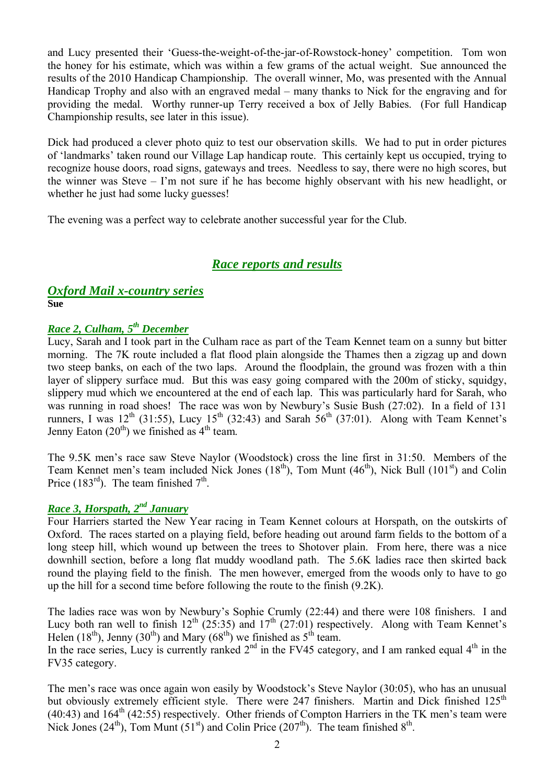and Lucy presented their 'Guess-the-weight-of-the-jar-of-Rowstock-honey' competition. Tom won the honey for his estimate, which was within a few grams of the actual weight. Sue announced the results of the 2010 Handicap Championship. The overall winner, Mo, was presented with the Annual Handicap Trophy and also with an engraved medal – many thanks to Nick for the engraving and for providing the medal. Worthy runner-up Terry received a box of Jelly Babies. (For full Handicap Championship results, see later in this issue).

Dick had produced a clever photo quiz to test our observation skills. We had to put in order pictures of 'landmarks' taken round our Village Lap handicap route. This certainly kept us occupied, trying to recognize house doors, road signs, gateways and trees. Needless to say, there were no high scores, but the winner was Steve – I'm not sure if he has become highly observant with his new headlight, or whether he just had some lucky guesses!

The evening was a perfect way to celebrate another successful year for the Club.

# *Race reports and results*

#### *Oxford Mail x-country series* **Sue**

# *Race 2, Culham, 5 th December*

Lucy, Sarah and I took part in the Culham race as part of the Team Kennet team on a sunny but bitter morning. The 7K route included a flat flood plain alongside the Thames then a zigzag up and down two steep banks, on each of the two laps. Around the floodplain, the ground was frozen with a thin layer of slippery surface mud. But this was easy going compared with the 200m of sticky, squidgy, slippery mud which we encountered at the end of each lap. This was particularly hard for Sarah, who was running in road shoes! The race was won by Newbury's Susie Bush (27:02). In a field of 131 runners, I was  $12^{th}$  (31:55), Lucy  $15^{th}$  (32:43) and Sarah  $56^{th}$  (37:01). Along with Team Kennet's Jenny Eaton  $(20<sup>th</sup>)$  we finished as  $4<sup>th</sup>$  team.

The 9.5K men's race saw Steve Naylor (Woodstock) cross the line first in 31:50. Members of the Team Kennet men's team included Nick Jones  $(18<sup>th</sup>)$ , Tom Munt  $(46<sup>th</sup>)$ , Nick Bull  $(101<sup>st</sup>)$  and Colin Price  $(183<sup>rd</sup>)$ . The team finished  $7<sup>th</sup>$ .

# *Race 3, Horspath, 2 nd January*

Four Harriers started the New Year racing in Team Kennet colours at Horspath, on the outskirts of Oxford. The races started on a playing field, before heading out around farm fields to the bottom of a long steep hill, which wound up between the trees to Shotover plain. From here, there was a nice downhill section, before a long flat muddy woodland path. The 5.6K ladies race then skirted back round the playing field to the finish. The men however, emerged from the woods only to have to go up the hill for a second time before following the route to the finish (9.2K).

The ladies race was won by Newbury's Sophie Crumly (22:44) and there were 108 finishers. I and Lucy both ran well to finish  $12<sup>th</sup>$  (25:35) and  $17<sup>th</sup>$  (27:01) respectively. Along with Team Kennet's Helen (18<sup>th</sup>), Jenny (30<sup>th</sup>) and Mary (68<sup>th</sup>) we finished as 5<sup>th</sup> team.

In the race series, Lucy is currently ranked  $2<sup>nd</sup>$  in the FV45 category, and I am ranked equal  $4<sup>th</sup>$  in the FV35 category.

The men's race was once again won easily by Woodstock's Steve Naylor (30:05), who has an unusual but obviously extremely efficient style. There were 247 finishers. Martin and Dick finished 125<sup>th</sup>  $(40:43)$  and  $164<sup>th</sup>$  (42:55) respectively. Other friends of Compton Harriers in the TK men's team were Nick Jones (24<sup>th</sup>), Tom Munt (51<sup>st</sup>) and Colin Price (207<sup>th</sup>). The team finished  $8^{th}$ .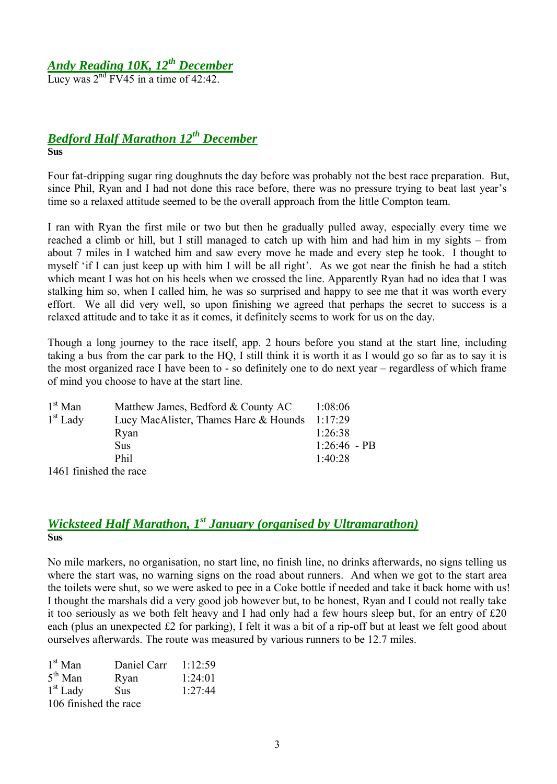# *Andy Reading 10K, 12th December*

Lucy was  $2<sup>nd</sup>$  FV45 in a time of 42:42.

# *Bedford Half Marathon 12th December* **Sus**

Four fat-dripping sugar ring doughnuts the day before was probably not the best race preparation. But, since Phil, Ryan and I had not done this race before, there was no pressure trying to beat last year's time so a relaxed attitude seemed to be the overall approach from the little Compton team.

I ran with Ryan the first mile or two but then he gradually pulled away, especially every time we reached a climb or hill, but I still managed to catch up with him and had him in my sights – from about 7 miles in I watched him and saw every move he made and every step he took. I thought to myself 'if I can just keep up with him I will be all right'. As we got near the finish he had a stitch which meant I was hot on his heels when we crossed the line. Apparently Ryan had no idea that I was stalking him so, when I called him, he was so surprised and happy to see me that it was worth every effort. We all did very well, so upon finishing we agreed that perhaps the secret to success is a relaxed attitude and to take it as it comes, it definitely seems to work for us on the day.

Though a long journey to the race itself, app. 2 hours before you stand at the start line, including taking a bus from the car park to the HQ, I still think it is worth it as I would go so far as to say it is the most organized race I have been to - so definitely one to do next year – regardless of which frame of mind you choose to have at the start line.

| $1st$ Man              | Matthew James, Bedford & County AC    | 1:08:06        |
|------------------------|---------------------------------------|----------------|
| $1st$ Lady             | Lucy MacAlister, Thames Hare & Hounds | 1:17:29        |
|                        | Ryan                                  | 1:26:38        |
|                        | <b>Sus</b>                            | $1:26:46$ - PB |
|                        | Phil                                  | 1:40:28        |
| 1461 finished the race |                                       |                |

# *Wicksteed Half Marathon, 1 st January (organised by Ultramarathon)* **Sus**

No mile markers, no organisation, no start line, no finish line, no drinks afterwards, no signs telling us where the start was, no warning signs on the road about runners. And when we got to the start area the toilets were shut, so we were asked to pee in a Coke bottle if needed and take it back home with us! I thought the marshals did a very good job however but, to be honest, Ryan and I could not really take it too seriously as we both felt heavy and I had only had a few hours sleep but, for an entry of É20 each (plus an unexpected £2 for parking), I felt it was a bit of a rip-off but at least we felt good about ourselves afterwards. The route was measured by various runners to be 12.7 miles.

| $1st$ Man             | Daniel Carr | 1:12:59 |  |  |  |
|-----------------------|-------------|---------|--|--|--|
| $5^{th}$ Man          | Ryan        | 1:24:01 |  |  |  |
| $1st$ Lady            | <b>Sus</b>  | 1:27:44 |  |  |  |
| 106 finished the race |             |         |  |  |  |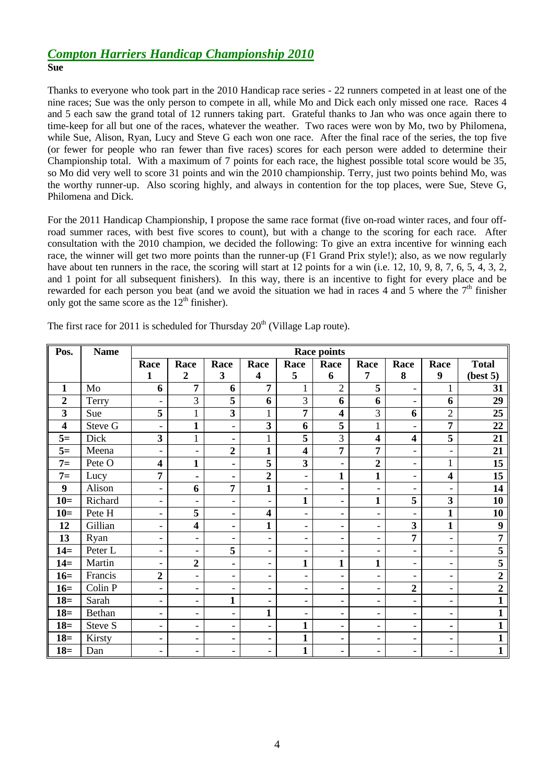## *Compton Harriers Handicap Championship 2010* **Sue**

Thanks to everyone who took part in the 2010 Handicap race series - 22 runners competed in at least one of the nine races; Sue was the only person to compete in all, while Mo and Dick each only missed one race. Races 4 and 5 each saw the grand total of 12 runners taking part. Grateful thanks to Jan who was once again there to time-keep for all but one of the races, whatever the weather. Two races were won by Mo, two by Philomena, while Sue, Alison, Ryan, Lucy and Steve G each won one race. After the final race of the series, the top five (or fewer for people who ran fewer than five races) scores for each person were added to determine their Championship total. With a maximum of 7 points for each race, the highest possible total score would be 35, so Mo did very well to score 31 points and win the 2010 championship. Terry, just two points behind Mo, was the worthy runner-up. Also scoring highly, and always in contention for the top places, were Sue, Steve G, Philomena and Dick.

For the 2011 Handicap Championship, I propose the same race format (five on-road winter races, and four offroad summer races, with best five scores to count), but with a change to the scoring for each race. After consultation with the 2010 champion, we decided the following: To give an extra incentive for winning each race, the winner will get two more points than the runner-up (F1 Grand Prix style!); also, as we now regularly have about ten runners in the race, the scoring will start at 12 points for a win (i.e. 12, 10, 9, 8, 7, 6, 5, 4, 3, 2, and 1 point for all subsequent finishers). In this way, there is an incentive to fight for every place and be rewarded for each person you beat (and we avoid the situation we had in races 4 and 5 where the  $7<sup>th</sup>$  finisher only got the same score as the  $12<sup>th</sup>$  finisher).

| Pos.                    | <b>Name</b> | <b>Race points</b>       |                          |                          |                          |                          |                              |                          |                              |                          |                  |
|-------------------------|-------------|--------------------------|--------------------------|--------------------------|--------------------------|--------------------------|------------------------------|--------------------------|------------------------------|--------------------------|------------------|
|                         |             | Race                     | Race                     | Race                     | Race                     | Race                     | Race                         | Race                     | Race                         | Race                     | <b>Total</b>     |
|                         |             | 1                        | $\overline{2}$           | 3                        | 4                        | 5                        | 6                            | 7                        | 8                            | 9                        | (best 5)         |
| $\mathbf{1}$            | Mo          | 6                        | $\overline{7}$           | 6                        | $\overline{7}$           | $\mathbf{1}$             | $\overline{2}$               | 5                        | $\overline{\phantom{a}}$     | 1                        | 31               |
| $\overline{2}$          | Terry       | $\overline{\phantom{0}}$ | 3                        | 5                        | 6                        | 3                        | 6                            | 6                        | $\overline{\phantom{a}}$     | 6                        | 29               |
| $\mathbf{3}$            | Sue         | 5                        | $\mathbf{1}$             | $\overline{\mathbf{3}}$  | $\mathbf{1}$             | 7                        | 4                            | 3                        | 6                            | $\overline{2}$           | 25               |
| $\overline{\mathbf{4}}$ | Steve G     | $\overline{\phantom{0}}$ | $\mathbf{1}$             | $\blacksquare$           | 3                        | 6                        | 5                            | $\mathbf{1}$             | $\overline{\phantom{0}}$     | 7                        | 22               |
| $5=$                    | Dick        | 3                        | 1                        | ٠                        | $\mathbf{1}$             | 5                        | 3                            | $\overline{\mathbf{4}}$  | $\overline{\mathbf{4}}$      | 5                        | 21               |
| $5=$                    | Meena       | $\overline{\phantom{0}}$ | $\overline{\phantom{a}}$ | $\boldsymbol{2}$         | $\mathbf{1}$             | $\overline{\mathbf{4}}$  | $\overline{7}$               | 7                        | $\overline{\phantom{a}}$     | $\overline{\phantom{a}}$ | 21               |
| $7=$                    | Pete O      | $\overline{\mathbf{4}}$  | $\mathbf{1}$             | $\blacksquare$           | 5                        | $\overline{\mathbf{3}}$  | $\blacksquare$               | $\overline{2}$           | $\overline{\phantom{0}}$     | 1                        | 15               |
| $7=$                    | Lucy        | 7                        | ٠                        | ۰                        | $\overline{2}$           | $\overline{\phantom{0}}$ | $\mathbf{1}$                 | $\mathbf{1}$             | $\overline{\phantom{0}}$     | $\overline{\mathbf{4}}$  | 15               |
| 9                       | Alison      | $\overline{\phantom{0}}$ | 6                        | 7                        | $\mathbf{1}$             | $\overline{\phantom{0}}$ | $\qquad \qquad -$            | $\blacksquare$           | $\overline{\phantom{0}}$     | $\overline{\phantom{a}}$ | 14               |
| $10=$                   | Richard     | $\overline{\phantom{0}}$ | $\blacksquare$           | $\overline{\phantom{a}}$ | $\overline{\phantom{0}}$ | $\mathbf{1}$             | $\overline{\phantom{a}}$     | $\mathbf{1}$             | 5                            | 3                        | 10               |
| $10=$                   | Pete H      | $\overline{\phantom{0}}$ | 5                        | ٠.                       | $\overline{\mathbf{4}}$  | $\overline{\phantom{0}}$ | $\qquad \qquad -$            | $\overline{\phantom{a}}$ | $\qquad \qquad \blacksquare$ | $\mathbf{1}$             | 10               |
| 12                      | Gillian     | $\overline{\phantom{0}}$ | $\overline{\mathbf{4}}$  | ٠                        | $\mathbf{1}$             | $\overline{\phantom{0}}$ | $\overline{\phantom{a}}$     | $\overline{\phantom{a}}$ | 3                            | $\mathbf{1}$             | 9                |
| 13                      | Ryan        | $\overline{\phantom{0}}$ | $\overline{\phantom{a}}$ | $\overline{\phantom{a}}$ | $\overline{\phantom{0}}$ | $\overline{\phantom{0}}$ | $\overline{\phantom{a}}$     | $\overline{\phantom{a}}$ | 7                            | $\overline{\phantom{a}}$ | 7                |
| $14=$                   | Peter L     | $\overline{\phantom{0}}$ | $\overline{\phantom{a}}$ | 5                        | -                        | $\overline{\phantom{0}}$ | $\overline{\phantom{a}}$     | $\overline{\phantom{a}}$ | $\overline{\phantom{a}}$     | $\overline{\phantom{a}}$ | 5                |
| $14=$                   | Martin      | $\overline{\phantom{0}}$ | $\overline{2}$           | ٠                        | $\overline{\phantom{0}}$ | $\mathbf{1}$             | 1                            | $\mathbf{1}$             | $\overline{\phantom{a}}$     | $\overline{\phantom{a}}$ | 5                |
| $16=$                   | Francis     | $\overline{2}$           | $\blacksquare$           | $\overline{\phantom{a}}$ | $\overline{\phantom{0}}$ | $\overline{\phantom{a}}$ | $\overline{\phantom{a}}$     | $\overline{\phantom{a}}$ | $\overline{\phantom{a}}$     | $\overline{\phantom{a}}$ | $\overline{2}$   |
| $16=$                   | Colin P     | $\overline{\phantom{0}}$ | $\overline{\phantom{a}}$ | $\overline{\phantom{a}}$ | $\overline{\phantom{0}}$ | $\overline{\phantom{0}}$ | $\overline{\phantom{a}}$     | $\overline{\phantom{a}}$ | $\overline{2}$               | $\overline{\phantom{a}}$ | $\boldsymbol{2}$ |
| $18=$                   | Sarah       | $\overline{\phantom{0}}$ | $\overline{\phantom{a}}$ | $\mathbf{1}$             | $\overline{\phantom{0}}$ | $\overline{\phantom{0}}$ | $\qquad \qquad \blacksquare$ | $\overline{\phantom{a}}$ | $\overline{\phantom{0}}$     | $\overline{\phantom{a}}$ | $\mathbf{1}$     |
| $18=$                   | Bethan      | $\overline{\phantom{0}}$ | $\overline{\phantom{0}}$ | $\overline{\phantom{a}}$ | $\mathbf{1}$             | $\overline{\phantom{0}}$ | -                            | $\overline{\phantom{a}}$ | $\overline{\phantom{a}}$     | $\overline{\phantom{a}}$ | 1                |
| $18=$                   | Steve S     | $\overline{\phantom{0}}$ | $\overline{\phantom{a}}$ | $\overline{\phantom{a}}$ | $\overline{\phantom{0}}$ | $\mathbf{1}$             | $\overline{\phantom{a}}$     | $\overline{\phantom{a}}$ | $\overline{\phantom{a}}$     | ۰                        |                  |
| $18=$                   | Kirsty      | $\overline{\phantom{0}}$ | $\overline{\phantom{a}}$ | $\overline{\phantom{a}}$ | -                        | $\mathbf{1}$             | $\overline{\phantom{a}}$     | $\overline{\phantom{a}}$ | $\overline{\phantom{a}}$     | $\overline{\phantom{a}}$ |                  |
| $18=$                   | Dan         | $\overline{\phantom{0}}$ | $\overline{\phantom{0}}$ | $\qquad \qquad -$        | $\overline{\phantom{0}}$ | $\mathbf{1}$             | $\qquad \qquad -$            | $\qquad \qquad -$        | $\overline{\phantom{0}}$     | -                        | $\mathbf{1}$     |

The first race for 2011 is scheduled for Thursday  $20<sup>th</sup>$  (Village Lap route).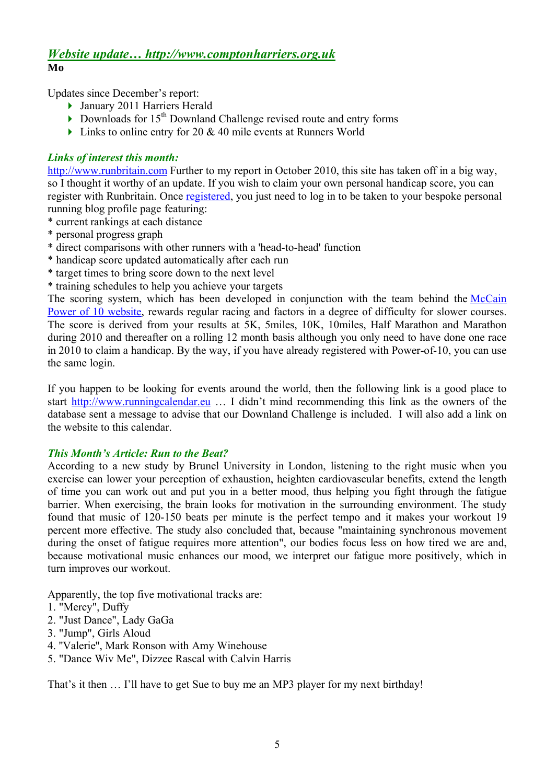# *Website update… http://www.comptonharriers.org.uk* **Mo**

Updates since December's report:

- January 2011 Harriers Herald
- Downloads for  $15<sup>th</sup>$  Downland Challenge revised route and entry forms
- $\triangleright$  Links to online entry for 20 & 40 mile events at Runners World

#### *Links of interest this month:*

http://www.runbritain.com Further to my report in October 2010, this site has taken off in a big way. so I thought it worthy of an update. If you wish to claim your own personal handicap score, you can register with Runbritain. Once registered, you just need to log in to be taken to your bespoke personal running blog profile page featuring:

\* current rankings at each distance

- \* personal progress graph
- \* direct comparisons with other runners with a 'head-to-head' function
- \* handicap score updated automatically after each run
- \* target times to bring score down to the next level
- \* training schedules to help you achieve your targets

The scoring system, which has been developed in conjunction with the team behind the McCain Power of 10 website, rewards regular racing and factors in a degree of difficulty for slower courses. The score is derived from your results at 5K, 5miles, 10K, 10miles, Half Marathon and Marathon during 2010 and thereafter on a rolling 12 month basis although you only need to have done one race in 2010 to claim a handicap. By the way, if you have already registered with Power-of-10, you can use the same login.

If you happen to be looking for events around the world, then the following link is a good place to start http://www.runningcalendar.eu … I didn't mind recommending this link as the owners of the database sent a message to advise that our Downland Challenge is included. I will also add a link on the website to this calendar.

## *This Month's Article: Run to the Beat?*

According to a new study by Brunel University in London, listening to the right music when you exercise can lower your perception of exhaustion, heighten cardiovascular benefits, extend the length of time you can work out and put you in a better mood, thus helping you fight through the fatigue barrier. When exercising, the brain looks for motivation in the surrounding environment. The study found that music of 120-150 beats per minute is the perfect tempo and it makes your workout 19 percent more effective. The study also concluded that, because "maintaining synchronous movement during the onset of fatigue requires more attention", our bodies focus less on how tired we are and, because motivational music enhances our mood, we interpret our fatigue more positively, which in turn improves our workout.

Apparently, the top five motivational tracks are:

- 1. "Mercy", Duffy
- 2. "Just Dance", Lady GaGa
- 3. "Jump", Girls Aloud
- 4. ''Valerie'', Mark Ronson with Amy Winehouse
- 5. "Dance Wiv Me", Dizzee Rascal with Calvin Harris

That's it then … I'll have to get Sue to buy me an MP3 player for my next birthday!